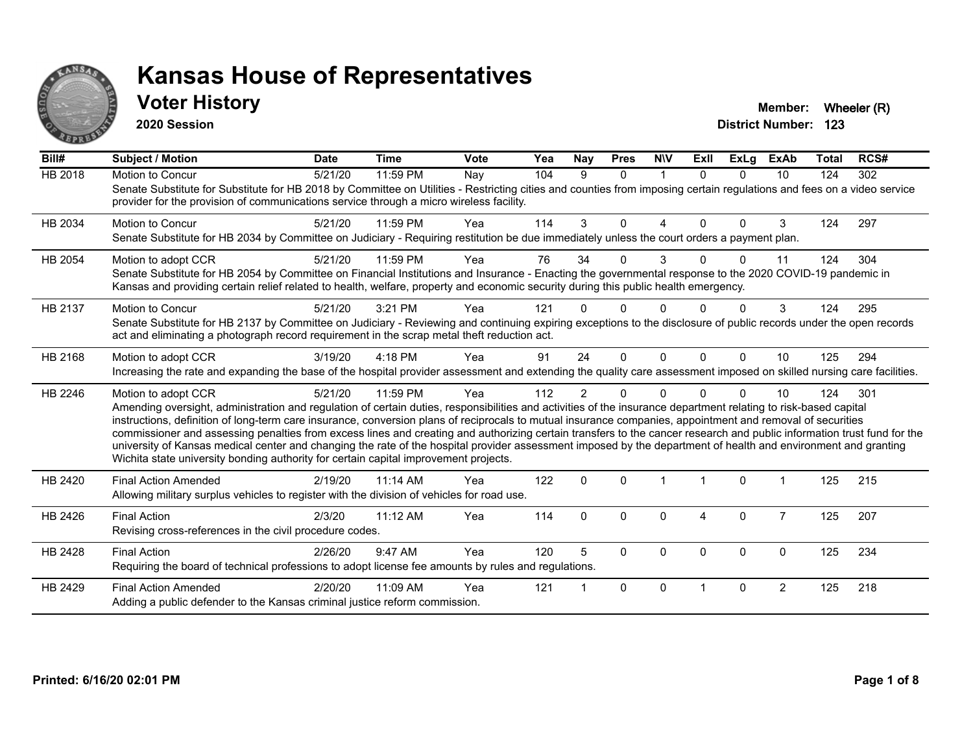

#### **Voter History Member: Wheeler (R) Member: Wheeler (R)**

**2020 Session**

| Bill#          | <b>Subject / Motion</b>                                                                                                                                                                                                                                                                                                                                                                                                                                                                                                                                                                                                                                                                                                                                                                  | <b>Date</b> | <b>Time</b> | Vote | Yea | Nay            | <b>Pres</b>  | <b>NIV</b>  | ExII     | ExLg     | ExAb           | <b>Total</b> | RCS# |
|----------------|------------------------------------------------------------------------------------------------------------------------------------------------------------------------------------------------------------------------------------------------------------------------------------------------------------------------------------------------------------------------------------------------------------------------------------------------------------------------------------------------------------------------------------------------------------------------------------------------------------------------------------------------------------------------------------------------------------------------------------------------------------------------------------------|-------------|-------------|------|-----|----------------|--------------|-------------|----------|----------|----------------|--------------|------|
| <b>HB 2018</b> | Motion to Concur<br>Senate Substitute for Substitute for HB 2018 by Committee on Utilities - Restricting cities and counties from imposing certain regulations and fees on a video service<br>provider for the provision of communications service through a micro wireless facility.                                                                                                                                                                                                                                                                                                                                                                                                                                                                                                    | 5/21/20     | 11:59 PM    | Nay  | 104 | 9              | $\Omega$     | $\mathbf 1$ | $\Omega$ | $\Omega$ | 10             | 124          | 302  |
| HB 2034        | Motion to Concur<br>Senate Substitute for HB 2034 by Committee on Judiciary - Requiring restitution be due immediately unless the court orders a payment plan.                                                                                                                                                                                                                                                                                                                                                                                                                                                                                                                                                                                                                           | 5/21/20     | 11:59 PM    | Yea  | 114 | 3              | $\Omega$     | 4           | $\Omega$ | $\Omega$ | 3              | 124          | 297  |
| HB 2054        | Motion to adopt CCR<br>Senate Substitute for HB 2054 by Committee on Financial Institutions and Insurance - Enacting the governmental response to the 2020 COVID-19 pandemic in<br>Kansas and providing certain relief related to health, welfare, property and economic security during this public health emergency.                                                                                                                                                                                                                                                                                                                                                                                                                                                                   | 5/21/20     | 11:59 PM    | Yea  | 76  | 34             | $\Omega$     | 3           |          | ∩        | 11             | 124          | 304  |
| HB 2137        | Motion to Concur<br>Senate Substitute for HB 2137 by Committee on Judiciary - Reviewing and continuing expiring exceptions to the disclosure of public records under the open records<br>act and eliminating a photograph record requirement in the scrap metal theft reduction act.                                                                                                                                                                                                                                                                                                                                                                                                                                                                                                     | 5/21/20     | 3:21 PM     | Yea  | 121 |                | U            |             |          |          | 3              | 124          | 295  |
| HB 2168        | Motion to adopt CCR<br>Increasing the rate and expanding the base of the hospital provider assessment and extending the quality care assessment imposed on skilled nursing care facilities.                                                                                                                                                                                                                                                                                                                                                                                                                                                                                                                                                                                              | 3/19/20     | $4:18$ PM   | Yea  | 91  | 24             | $\Omega$     | $\Omega$    | $\Omega$ | $\Omega$ | 10             | 125          | 294  |
| HB 2246        | Motion to adopt CCR<br>Amending oversight, administration and regulation of certain duties, responsibilities and activities of the insurance department relating to risk-based capital<br>instructions, definition of long-term care insurance, conversion plans of reciprocals to mutual insurance companies, appointment and removal of securities<br>commissioner and assessing penalties from excess lines and creating and authorizing certain transfers to the cancer research and public information trust fund for the<br>university of Kansas medical center and changing the rate of the hospital provider assessment imposed by the department of health and environment and granting<br>Wichita state university bonding authority for certain capital improvement projects. | 5/21/20     | 11:59 PM    | Yea  | 112 | $\overline{2}$ | $\Omega$     | $\Omega$    |          | $\Omega$ | 10             | 124          | 301  |
| HB 2420        | <b>Final Action Amended</b><br>Allowing military surplus vehicles to register with the division of vehicles for road use.                                                                                                                                                                                                                                                                                                                                                                                                                                                                                                                                                                                                                                                                | 2/19/20     | $11:14$ AM  | Yea  | 122 | $\mathbf{0}$   | $\Omega$     |             |          | $\Omega$ |                | 125          | 215  |
| HB 2426        | <b>Final Action</b><br>Revising cross-references in the civil procedure codes.                                                                                                                                                                                                                                                                                                                                                                                                                                                                                                                                                                                                                                                                                                           | 2/3/20      | 11:12 AM    | Yea  | 114 | $\Omega$       | $\mathbf{0}$ | $\Omega$    | 4        | $\Omega$ | $\overline{7}$ | 125          | 207  |
| HB 2428        | <b>Final Action</b><br>Requiring the board of technical professions to adopt license fee amounts by rules and regulations.                                                                                                                                                                                                                                                                                                                                                                                                                                                                                                                                                                                                                                                               | 2/26/20     | 9:47 AM     | Yea  | 120 | 5              | $\Omega$     | $\Omega$    | $\Omega$ | $\Omega$ | $\Omega$       | 125          | 234  |
| HB 2429        | <b>Final Action Amended</b><br>Adding a public defender to the Kansas criminal justice reform commission.                                                                                                                                                                                                                                                                                                                                                                                                                                                                                                                                                                                                                                                                                | 2/20/20     | 11:09 AM    | Yea  | 121 |                | $\mathbf{0}$ | $\Omega$    |          | $\Omega$ | $\overline{2}$ | 125          | 218  |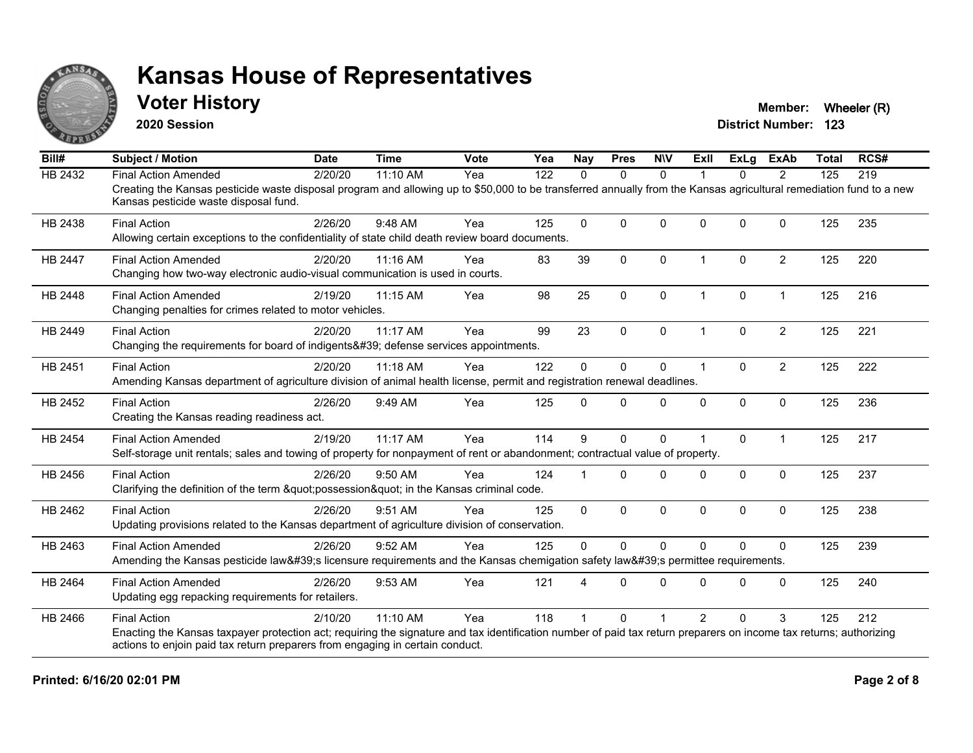

#### **Voter History Member: Wheeler (R) Member: Wheeler (R)**

**2020 Session**

| Bill#          | <b>Subject / Motion</b>                                                                                                                                                                                     | <b>Date</b> | <b>Time</b> | <b>Vote</b> | Yea | <b>Nay</b>   | <b>Pres</b>  | <b>NIV</b>   | Exll                    | <b>ExLg</b> | <b>ExAb</b>    | <b>Total</b> | RCS# |
|----------------|-------------------------------------------------------------------------------------------------------------------------------------------------------------------------------------------------------------|-------------|-------------|-------------|-----|--------------|--------------|--------------|-------------------------|-------------|----------------|--------------|------|
| HB 2432        | <b>Final Action Amended</b>                                                                                                                                                                                 | 2/20/20     | 11:10 AM    | Yea         | 122 | $\Omega$     | $\mathbf{0}$ | $\mathbf{0}$ |                         | 0           | $\overline{2}$ | 125          | 219  |
|                | Creating the Kansas pesticide waste disposal program and allowing up to \$50,000 to be transferred annually from the Kansas agricultural remediation fund to a new<br>Kansas pesticide waste disposal fund. |             |             |             |     |              |              |              |                         |             |                |              |      |
| HB 2438        | <b>Final Action</b>                                                                                                                                                                                         | 2/26/20     | 9:48 AM     | Yea         | 125 | $\Omega$     | $\Omega$     | $\Omega$     | $\Omega$                | $\Omega$    | $\Omega$       | 125          | 235  |
|                | Allowing certain exceptions to the confidentiality of state child death review board documents.                                                                                                             |             |             |             |     |              |              |              |                         |             |                |              |      |
| <b>HB 2447</b> | <b>Final Action Amended</b>                                                                                                                                                                                 | 2/20/20     | 11:16 AM    | Yea         | 83  | 39           | $\mathbf{0}$ | $\Omega$     | $\overline{1}$          | $\Omega$    | $\overline{2}$ | 125          | 220  |
|                | Changing how two-way electronic audio-visual communication is used in courts.                                                                                                                               |             |             |             |     |              |              |              |                         |             |                |              |      |
| HB 2448        | <b>Final Action Amended</b>                                                                                                                                                                                 | 2/19/20     | 11:15 AM    | Yea         | 98  | 25           | $\pmb{0}$    | $\pmb{0}$    | $\overline{\mathbf{1}}$ | 0           | $\mathbf{1}$   | 125          | 216  |
|                | Changing penalties for crimes related to motor vehicles.                                                                                                                                                    |             |             |             |     |              |              |              |                         |             |                |              |      |
| HB 2449        | <b>Final Action</b>                                                                                                                                                                                         | 2/20/20     | 11:17 AM    | Yea         | 99  | 23           | $\Omega$     | $\Omega$     | 1                       | $\Omega$    | $\overline{2}$ | 125          | 221  |
|                | Changing the requirements for board of indigents' defense services appointments.                                                                                                                            |             |             |             |     |              |              |              |                         |             |                |              |      |
| HB 2451        | <b>Final Action</b>                                                                                                                                                                                         | 2/20/20     | 11:18 AM    | Yea         | 122 | $\Omega$     | 0            | 0            | $\overline{1}$          | $\Omega$    | $\overline{2}$ | 125          | 222  |
|                | Amending Kansas department of agriculture division of animal health license, permit and registration renewal deadlines.                                                                                     |             |             |             |     |              |              |              |                         |             |                |              |      |
| HB 2452        | <b>Final Action</b>                                                                                                                                                                                         | 2/26/20     | 9:49 AM     | Yea         | 125 | $\Omega$     | $\Omega$     | $\Omega$     | $\Omega$                | 0           | $\mathbf 0$    | 125          | 236  |
|                | Creating the Kansas reading readiness act.                                                                                                                                                                  |             |             |             |     |              |              |              |                         |             |                |              |      |
| HB 2454        | <b>Final Action Amended</b>                                                                                                                                                                                 | 2/19/20     | 11:17 AM    | Yea         | 114 | 9            | $\mathbf{0}$ | $\mathbf 0$  |                         | $\Omega$    | $\mathbf 1$    | 125          | 217  |
|                | Self-storage unit rentals; sales and towing of property for nonpayment of rent or abandonment; contractual value of property.                                                                               |             |             |             |     |              |              |              |                         |             |                |              |      |
| HB 2456        | <b>Final Action</b>                                                                                                                                                                                         | 2/26/20     | 9:50 AM     | Yea         | 124 |              | $\Omega$     | $\Omega$     | $\Omega$                | $\Omega$    | $\mathbf{0}$   | 125          | 237  |
|                | Clarifying the definition of the term "possession" in the Kansas criminal code.                                                                                                                             |             |             |             |     |              |              |              |                         |             |                |              |      |
| HB 2462        | <b>Final Action</b>                                                                                                                                                                                         | 2/26/20     | 9:51 AM     | Yea         | 125 | $\mathbf{0}$ | 0            | $\mathbf 0$  | $\Omega$                | 0           | $\mathbf 0$    | 125          | 238  |
|                | Updating provisions related to the Kansas department of agriculture division of conservation.                                                                                                               |             |             |             |     |              |              |              |                         |             |                |              |      |
| HB 2463        | <b>Final Action Amended</b>                                                                                                                                                                                 | 2/26/20     | 9:52 AM     | Yea         | 125 | $\mathbf{0}$ | $\mathbf{0}$ | $\Omega$     | $\Omega$                | $\Omega$    | $\Omega$       | 125          | 239  |
|                | Amending the Kansas pesticide law's licensure requirements and the Kansas chemigation safety law's permittee requirements.                                                                                  |             |             |             |     |              |              |              |                         |             |                |              |      |
| HB 2464        | <b>Final Action Amended</b>                                                                                                                                                                                 | 2/26/20     | 9:53 AM     | Yea         | 121 |              | $\Omega$     | $\Omega$     | $\Omega$                | $\Omega$    | $\Omega$       | 125          | 240  |
|                | Updating egg repacking requirements for retailers.                                                                                                                                                          |             |             |             |     |              |              |              |                         |             |                |              |      |
| HB 2466        | <b>Final Action</b>                                                                                                                                                                                         | 2/10/20     | 11:10 AM    | Yea         | 118 |              | $\Omega$     |              | $\overline{2}$          | $\Omega$    | 3              | 125          | 212  |
|                | Enacting the Kansas taxpayer protection act; requiring the signature and tax identification number of paid tax return preparers on income tax returns; authorizing                                          |             |             |             |     |              |              |              |                         |             |                |              |      |
|                | actions to enjoin paid tax return preparers from engaging in certain conduct.                                                                                                                               |             |             |             |     |              |              |              |                         |             |                |              |      |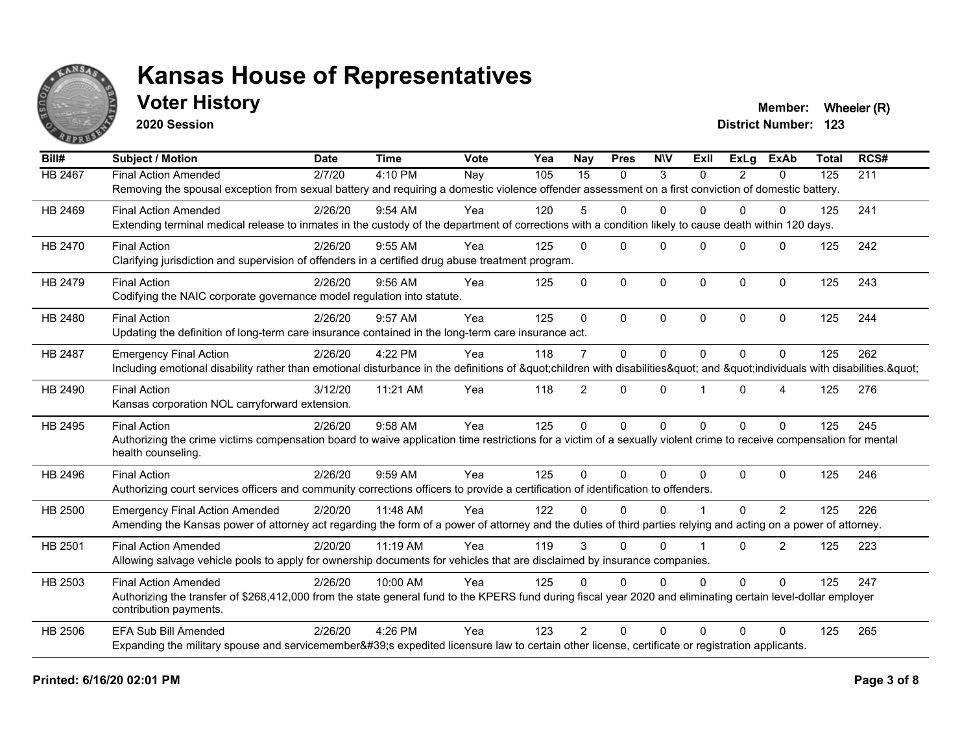

### **Voter History Member: Wheeler (R) Member: Wheeler (R)**

**2020 Session**

| Bill#   | <b>Subject / Motion</b>                                                                                                                                             | <b>Date</b> | <b>Time</b> | Vote | Yea | <b>Nay</b>     | <b>Pres</b>  | <b>NIV</b>  | ExII     | ExLa           | <b>ExAb</b>    | <b>Total</b> | RCS# |
|---------|---------------------------------------------------------------------------------------------------------------------------------------------------------------------|-------------|-------------|------|-----|----------------|--------------|-------------|----------|----------------|----------------|--------------|------|
| HB 2467 | <b>Final Action Amended</b>                                                                                                                                         | 2/7/20      | 4:10 PM     | Nay  | 105 | 15             | $\mathbf{0}$ | 3           | $\Omega$ | $\overline{2}$ | $\mathbf{0}$   | 125          | 211  |
|         | Removing the spousal exception from sexual battery and requiring a domestic violence offender assessment on a first conviction of domestic battery.                 |             |             |      |     |                |              |             |          |                |                |              |      |
| HB 2469 | <b>Final Action Amended</b>                                                                                                                                         | 2/26/20     | 9:54 AM     | Yea  | 120 | 5              | $\mathbf 0$  | $\Omega$    | $\Omega$ | $\Omega$       | 0              | 125          | 241  |
|         | Extending terminal medical release to inmates in the custody of the department of corrections with a condition likely to cause death within 120 days.               |             |             |      |     |                |              |             |          |                |                |              |      |
| HB 2470 | <b>Final Action</b>                                                                                                                                                 | 2/26/20     | $9:55$ AM   | Yea  | 125 | $\Omega$       | $\Omega$     | $\Omega$    | $\Omega$ | $\Omega$       | $\Omega$       | 125          | 242  |
|         | Clarifying jurisdiction and supervision of offenders in a certified drug abuse treatment program.                                                                   |             |             |      |     |                |              |             |          |                |                |              |      |
| HB 2479 | <b>Final Action</b>                                                                                                                                                 | 2/26/20     | $9:56$ AM   | Yea  | 125 | $\mathbf{0}$   | $\mathbf 0$  | $\Omega$    | $\Omega$ | $\Omega$       | $\mathbf 0$    | 125          | 243  |
|         | Codifying the NAIC corporate governance model regulation into statute.                                                                                              |             |             |      |     |                |              |             |          |                |                |              |      |
| HB 2480 | <b>Final Action</b>                                                                                                                                                 | 2/26/20     | 9:57 AM     | Yea  | 125 | $\Omega$       | $\Omega$     | $\Omega$    | $\Omega$ | $\Omega$       | $\mathbf{0}$   | 125          | 244  |
|         | Updating the definition of long-term care insurance contained in the long-term care insurance act.                                                                  |             |             |      |     |                |              |             |          |                |                |              |      |
| HB 2487 | <b>Emergency Final Action</b>                                                                                                                                       | 2/26/20     | 4:22 PM     | Yea  | 118 | $\overline{7}$ | $\mathbf{0}$ | $\mathbf 0$ | $\Omega$ | $\Omega$       | $\Omega$       | 125          | 262  |
|         | Including emotional disability rather than emotional disturbance in the definitions of "children with disabilities" and "individuals with disabilities. "           |             |             |      |     |                |              |             |          |                |                |              |      |
| HB 2490 | <b>Final Action</b>                                                                                                                                                 | 3/12/20     | 11:21 AM    | Yea  | 118 | $\overline{2}$ | $\mathbf{0}$ | $\Omega$    |          | $\Omega$       | 4              | 125          | 276  |
|         | Kansas corporation NOL carryforward extension.                                                                                                                      |             |             |      |     |                |              |             |          |                |                |              |      |
| HB 2495 | <b>Final Action</b>                                                                                                                                                 | 2/26/20     | 9:58 AM     | Yea  | 125 | $\Omega$       | $\mathbf{0}$ | $\Omega$    | $\Omega$ | $\Omega$       | $\Omega$       | 125          | 245  |
|         | Authorizing the crime victims compensation board to waive application time restrictions for a victim of a sexually violent crime to receive compensation for mental |             |             |      |     |                |              |             |          |                |                |              |      |
|         | health counseling.                                                                                                                                                  |             |             |      |     |                |              |             |          |                |                |              |      |
| HB 2496 | <b>Final Action</b>                                                                                                                                                 | 2/26/20     | 9:59 AM     | Yea  | 125 | $\Omega$       | $\Omega$     | $\Omega$    | $\Omega$ | $\Omega$       | $\Omega$       | 125          | 246  |
|         | Authorizing court services officers and community corrections officers to provide a certification of identification to offenders.                                   |             |             |      |     |                |              |             |          |                |                |              |      |
| HB 2500 | <b>Emergency Final Action Amended</b>                                                                                                                               | 2/20/20     | 11:48 AM    | Yea  | 122 | $\Omega$       | $\Omega$     | $\Omega$    |          | $\Omega$       | $\overline{2}$ | 125          | 226  |
|         | Amending the Kansas power of attorney act regarding the form of a power of attorney and the duties of third parties relying and acting on a power of attorney.      |             |             |      |     |                |              |             |          |                |                |              |      |
| HB 2501 | <b>Final Action Amended</b>                                                                                                                                         | 2/20/20     | 11:19 AM    | Yea  | 119 | 3              | $\Omega$     | $\Omega$    |          | $\Omega$       | $\overline{2}$ | 125          | 223  |
|         | Allowing salvage vehicle pools to apply for ownership documents for vehicles that are disclaimed by insurance companies.                                            |             |             |      |     |                |              |             |          |                |                |              |      |
| HB 2503 | <b>Final Action Amended</b>                                                                                                                                         | 2/26/20     | 10:00 AM    | Yea  | 125 | $\Omega$       | $\Omega$     | $\Omega$    | $\Omega$ | $\Omega$       | $\Omega$       | 125          | 247  |
|         | Authorizing the transfer of \$268,412,000 from the state general fund to the KPERS fund during fiscal year 2020 and eliminating certain level-dollar employer       |             |             |      |     |                |              |             |          |                |                |              |      |
|         | contribution payments.                                                                                                                                              |             |             |      |     |                |              |             |          |                |                |              |      |
| HB 2506 | <b>EFA Sub Bill Amended</b>                                                                                                                                         | 2/26/20     | 4:26 PM     | Yea  | 123 | $\mathcal{P}$  | $\Omega$     | $\Omega$    | $\Omega$ | $\Omega$       | $\Omega$       | 125          | 265  |
|         | Expanding the military spouse and servicemember's expedited licensure law to certain other license, certificate or registration applicants.                         |             |             |      |     |                |              |             |          |                |                |              |      |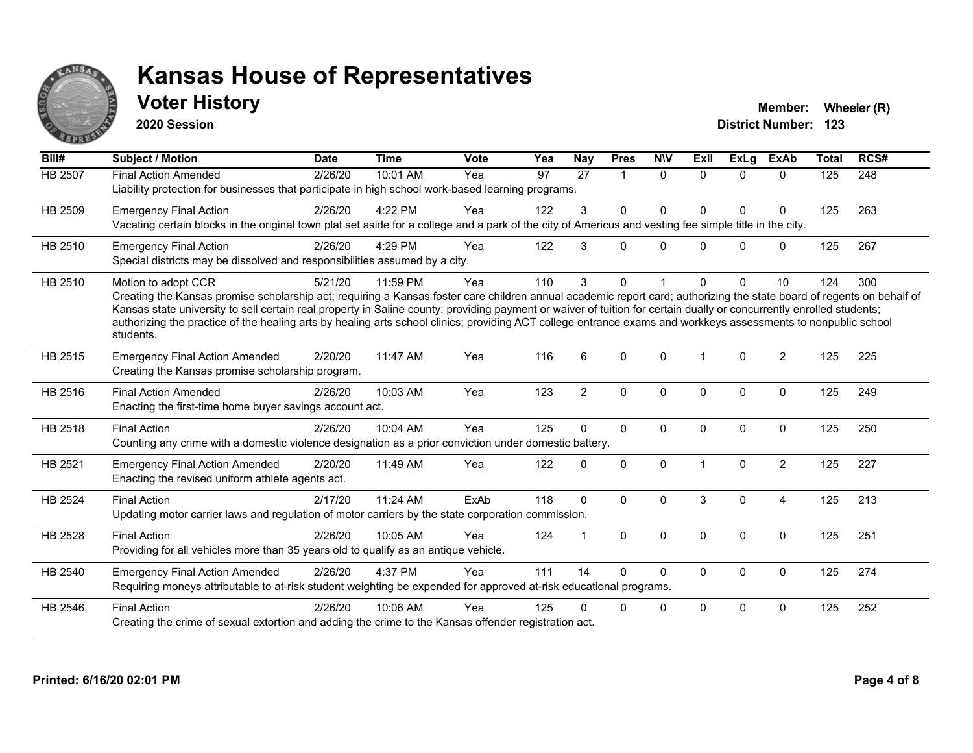

### **Voter History Member: Wheeler (R) Member: Wheeler (R)**

**2020 Session**

| Bill#   | Subject / Motion                                                                                                                                                                                                                                                                                                                                                                                                                                                                                                                                    | <b>Date</b> | <b>Time</b> | <b>Vote</b> | Yea | Nay            | <b>Pres</b>          | <b>NIV</b>   | <b>ExII</b> | ExLg         | <b>ExAb</b>    | <b>Total</b> | RCS# |
|---------|-----------------------------------------------------------------------------------------------------------------------------------------------------------------------------------------------------------------------------------------------------------------------------------------------------------------------------------------------------------------------------------------------------------------------------------------------------------------------------------------------------------------------------------------------------|-------------|-------------|-------------|-----|----------------|----------------------|--------------|-------------|--------------|----------------|--------------|------|
| HB 2507 | <b>Final Action Amended</b><br>Liability protection for businesses that participate in high school work-based learning programs.                                                                                                                                                                                                                                                                                                                                                                                                                    | 2/26/20     | 10:01 AM    | Yea         | 97  | 27             | $\blacktriangleleft$ | $\Omega$     | $\Omega$    | $\Omega$     | $\Omega$       | 125          | 248  |
| HB 2509 | <b>Emergency Final Action</b><br>Vacating certain blocks in the original town plat set aside for a college and a park of the city of Americus and vesting fee simple title in the city.                                                                                                                                                                                                                                                                                                                                                             | 2/26/20     | 4:22 PM     | Yea         | 122 | 3              | $\mathbf{0}$         | $\Omega$     | $\Omega$    | $\Omega$     | $\Omega$       | 125          | 263  |
| HB 2510 | <b>Emergency Final Action</b><br>Special districts may be dissolved and responsibilities assumed by a city.                                                                                                                                                                                                                                                                                                                                                                                                                                         | 2/26/20     | 4:29 PM     | Yea         | 122 | 3              | $\Omega$             | $\Omega$     | U           | $\Omega$     | $\mathbf 0$    | 125          | 267  |
| HB 2510 | Motion to adopt CCR<br>Creating the Kansas promise scholarship act; requiring a Kansas foster care children annual academic report card; authorizing the state board of regents on behalf of<br>Kansas state university to sell certain real property in Saline county; providing payment or waiver of tuition for certain dually or concurrently enrolled students;<br>authorizing the practice of the healing arts by healing arts school clinics; providing ACT college entrance exams and workkeys assessments to nonpublic school<br>students. | 5/21/20     | 11:59 PM    | Yea         | 110 | 3              | $\Omega$             |              | U           | $\Omega$     | 10             | 124          | 300  |
| HB 2515 | <b>Emergency Final Action Amended</b><br>Creating the Kansas promise scholarship program.                                                                                                                                                                                                                                                                                                                                                                                                                                                           | 2/20/20     | 11:47 AM    | Yea         | 116 | 6              | $\Omega$             | $\Omega$     | 1           | $\Omega$     | $\overline{2}$ | 125          | 225  |
| HB 2516 | <b>Final Action Amended</b><br>Enacting the first-time home buyer savings account act.                                                                                                                                                                                                                                                                                                                                                                                                                                                              | 2/26/20     | 10:03 AM    | Yea         | 123 | $\overline{2}$ | $\mathbf{0}$         | $\Omega$     | $\Omega$    | $\Omega$     | $\mathbf 0$    | 125          | 249  |
| HB 2518 | <b>Final Action</b><br>Counting any crime with a domestic violence designation as a prior conviction under domestic battery.                                                                                                                                                                                                                                                                                                                                                                                                                        | 2/26/20     | 10:04 AM    | Yea         | 125 | $\Omega$       | $\mathbf{0}$         | $\Omega$     | $\Omega$    | $\Omega$     | $\Omega$       | 125          | 250  |
| HB 2521 | <b>Emergency Final Action Amended</b><br>Enacting the revised uniform athlete agents act.                                                                                                                                                                                                                                                                                                                                                                                                                                                           | 2/20/20     | 11:49 AM    | Yea         | 122 | $\Omega$       | $\mathbf 0$          | $\mathbf 0$  |             | $\mathbf{0}$ | $\overline{2}$ | 125          | 227  |
| HB 2524 | <b>Final Action</b><br>Updating motor carrier laws and regulation of motor carriers by the state corporation commission.                                                                                                                                                                                                                                                                                                                                                                                                                            | 2/17/20     | 11:24 AM    | ExAb        | 118 | $\Omega$       | $\Omega$             | $\Omega$     | 3           | $\Omega$     | $\overline{4}$ | 125          | 213  |
| HB 2528 | <b>Final Action</b><br>Providing for all vehicles more than 35 years old to qualify as an antique vehicle.                                                                                                                                                                                                                                                                                                                                                                                                                                          | 2/26/20     | 10:05 AM    | Yea         | 124 | 1              | $\mathbf{0}$         | $\mathbf{0}$ | $\Omega$    | $\Omega$     | $\mathbf{0}$   | 125          | 251  |
| HB 2540 | <b>Emergency Final Action Amended</b><br>Requiring moneys attributable to at-risk student weighting be expended for approved at-risk educational programs.                                                                                                                                                                                                                                                                                                                                                                                          | 2/26/20     | 4:37 PM     | Yea         | 111 | 14             | $\Omega$             | $\Omega$     | 0           | $\mathbf 0$  | $\mathbf 0$    | 125          | 274  |
| HB 2546 | <b>Final Action</b><br>Creating the crime of sexual extortion and adding the crime to the Kansas offender registration act.                                                                                                                                                                                                                                                                                                                                                                                                                         | 2/26/20     | 10:06 AM    | Yea         | 125 | 0              | 0                    | $\mathbf 0$  | $\Omega$    | $\Omega$     | $\mathbf 0$    | 125          | 252  |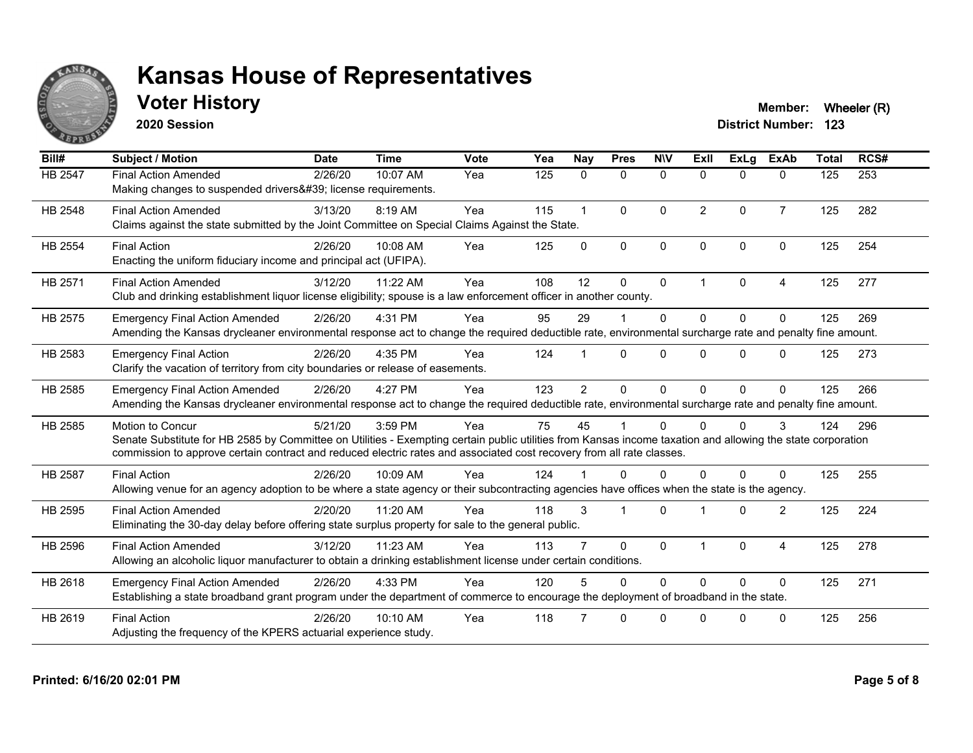

### **Voter History Member: Wheeler (R) Member: Wheeler (R)**

**2020 Session**

| Bill#          | <b>Subject / Motion</b>                                                                                                                                                                                                                                                                                  | <b>Date</b> | <b>Time</b> | Vote | Yea | <b>Nay</b>     | <b>Pres</b>  | <b>NIV</b>   | ExII           | ExLg         | <b>ExAb</b>    | <b>Total</b> | RCS# |
|----------------|----------------------------------------------------------------------------------------------------------------------------------------------------------------------------------------------------------------------------------------------------------------------------------------------------------|-------------|-------------|------|-----|----------------|--------------|--------------|----------------|--------------|----------------|--------------|------|
| HB 2547        | <b>Final Action Amended</b><br>Making changes to suspended drivers' license requirements.                                                                                                                                                                                                                | 2/26/20     | 10:07 AM    | Yea  | 125 | 0              | $\mathbf 0$  | $\mathbf 0$  | 0              | $\Omega$     | $\mathbf{0}$   | 125          | 253  |
| HB 2548        | <b>Final Action Amended</b><br>Claims against the state submitted by the Joint Committee on Special Claims Against the State.                                                                                                                                                                            | 3/13/20     | 8:19 AM     | Yea  | 115 |                | $\mathbf{0}$ | $\Omega$     | $\overline{2}$ | $\Omega$     | $\overline{7}$ | 125          | 282  |
| HB 2554        | <b>Final Action</b><br>Enacting the uniform fiduciary income and principal act (UFIPA).                                                                                                                                                                                                                  | 2/26/20     | 10:08 AM    | Yea  | 125 | $\Omega$       | $\mathbf{0}$ | $\mathbf{0}$ | $\Omega$       | $\Omega$     | $\Omega$       | 125          | 254  |
| HB 2571        | <b>Final Action Amended</b><br>Club and drinking establishment liquor license eligibility; spouse is a law enforcement officer in another county.                                                                                                                                                        | 3/12/20     | 11:22 AM    | Yea  | 108 | 12             | $\Omega$     | $\mathbf 0$  | 1              | $\Omega$     | $\overline{4}$ | 125          | 277  |
| HB 2575        | <b>Emergency Final Action Amended</b><br>Amending the Kansas drycleaner environmental response act to change the required deductible rate, environmental surcharge rate and penalty fine amount.                                                                                                         | 2/26/20     | 4:31 PM     | Yea  | 95  | 29             |              | $\Omega$     | $\Omega$       | $\Omega$     | $\Omega$       | 125          | 269  |
| HB 2583        | <b>Emergency Final Action</b><br>Clarify the vacation of territory from city boundaries or release of easements.                                                                                                                                                                                         | 2/26/20     | 4:35 PM     | Yea  | 124 |                | $\Omega$     | $\Omega$     | 0              | $\Omega$     | $\Omega$       | 125          | 273  |
| HB 2585        | <b>Emergency Final Action Amended</b><br>Amending the Kansas drycleaner environmental response act to change the required deductible rate, environmental surcharge rate and penalty fine amount.                                                                                                         | 2/26/20     | 4:27 PM     | Yea  | 123 | $\overline{2}$ | $\mathbf{0}$ | $\Omega$     | $\Omega$       | $\Omega$     | $\Omega$       | 125          | 266  |
| HB 2585        | Motion to Concur<br>Senate Substitute for HB 2585 by Committee on Utilities - Exempting certain public utilities from Kansas income taxation and allowing the state corporation<br>commission to approve certain contract and reduced electric rates and associated cost recovery from all rate classes. | 5/21/20     | 3:59 PM     | Yea  | 75  | 45             |              | $\Omega$     | 0              | 0            | 3              | 124          | 296  |
| <b>HB 2587</b> | <b>Final Action</b><br>Allowing venue for an agency adoption to be where a state agency or their subcontracting agencies have offices when the state is the agency.                                                                                                                                      | 2/26/20     | 10:09 AM    | Yea  | 124 |                | $\Omega$     | 0            | $\Omega$       | <sup>0</sup> | $\Omega$       | 125          | 255  |
| HB 2595        | <b>Final Action Amended</b><br>Eliminating the 30-day delay before offering state surplus property for sale to the general public.                                                                                                                                                                       | 2/20/20     | 11:20 AM    | Yea  | 118 | 3              |              | $\Omega$     |                | $\Omega$     | $\overline{2}$ | 125          | 224  |
| HB 2596        | <b>Final Action Amended</b><br>Allowing an alcoholic liquor manufacturer to obtain a drinking establishment license under certain conditions.                                                                                                                                                            | 3/12/20     | 11:23 AM    | Yea  | 113 |                | $\mathbf{0}$ | $\mathbf{0}$ |                | $\Omega$     | 4              | 125          | 278  |
| HB 2618        | <b>Emergency Final Action Amended</b><br>Establishing a state broadband grant program under the department of commerce to encourage the deployment of broadband in the state.                                                                                                                            | 2/26/20     | 4:33 PM     | Yea  | 120 |                | $\Omega$     | $\Omega$     | $\Omega$       | $\Omega$     | $\Omega$       | 125          | 271  |
| HB 2619        | <b>Final Action</b><br>Adjusting the frequency of the KPERS actuarial experience study.                                                                                                                                                                                                                  | 2/26/20     | 10:10 AM    | Yea  | 118 |                | $\Omega$     | $\Omega$     | U              | $\Omega$     | $\Omega$       | 125          | 256  |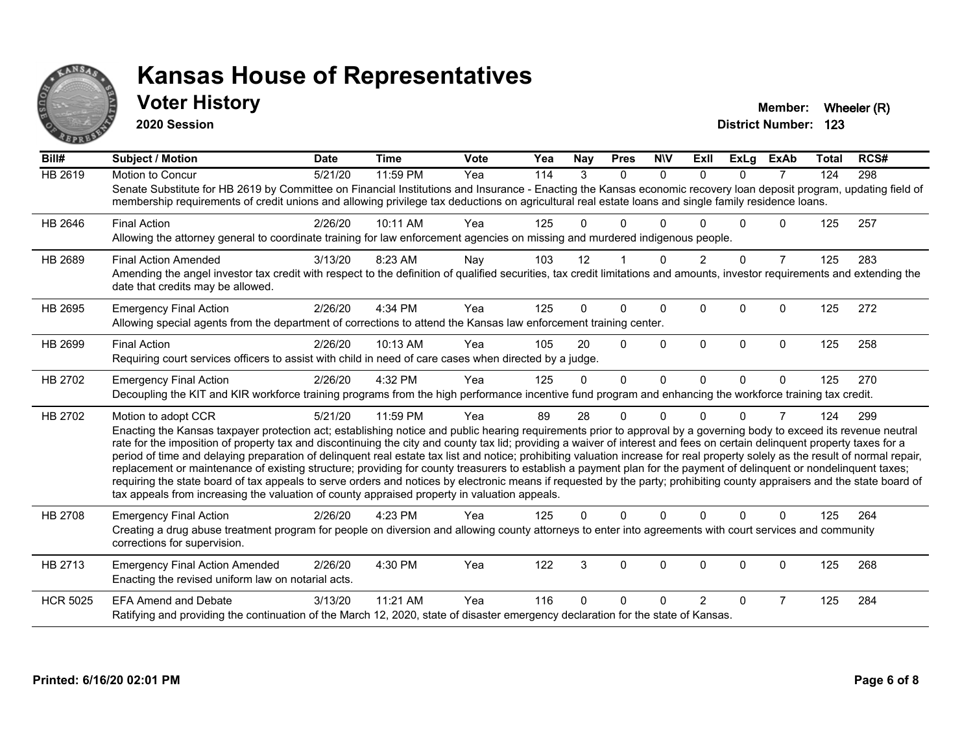

#### **Voter History Member: Wheeler (R) Member: Wheeler (R)**

**2020 Session**

| Bill#           | <b>Subject / Motion</b>                                                                                                                                                                                                                                                                                                                                                                                                                                                                                                                                                                                                                                                                                                                                                                                                                                                                                                                                                                                       | <b>Date</b> | <b>Time</b> | <b>Vote</b> | Yea | Nay      | <b>Pres</b> | <b>NIV</b>   | ExII           | <b>ExLg</b> | <b>ExAb</b>    | <b>Total</b> | RCS# |
|-----------------|---------------------------------------------------------------------------------------------------------------------------------------------------------------------------------------------------------------------------------------------------------------------------------------------------------------------------------------------------------------------------------------------------------------------------------------------------------------------------------------------------------------------------------------------------------------------------------------------------------------------------------------------------------------------------------------------------------------------------------------------------------------------------------------------------------------------------------------------------------------------------------------------------------------------------------------------------------------------------------------------------------------|-------------|-------------|-------------|-----|----------|-------------|--------------|----------------|-------------|----------------|--------------|------|
| <b>HB 2619</b>  | <b>Motion to Concur</b><br>Senate Substitute for HB 2619 by Committee on Financial Institutions and Insurance - Enacting the Kansas economic recovery loan deposit program, updating field of<br>membership requirements of credit unions and allowing privilege tax deductions on agricultural real estate loans and single family residence loans.                                                                                                                                                                                                                                                                                                                                                                                                                                                                                                                                                                                                                                                          | 5/21/20     | 11:59 PM    | Yea         | 114 | 3        | $\Omega$    | $\Omega$     | $\Omega$       | $\Omega$    | $\overline{7}$ | 124          | 298  |
| HB 2646         | <b>Final Action</b><br>Allowing the attorney general to coordinate training for law enforcement agencies on missing and murdered indigenous people.                                                                                                                                                                                                                                                                                                                                                                                                                                                                                                                                                                                                                                                                                                                                                                                                                                                           | 2/26/20     | 10:11 AM    | Yea         | 125 | U        | U           |              |                | U           | $\mathbf{0}$   | 125          | 257  |
| HB 2689         | <b>Final Action Amended</b><br>Amending the angel investor tax credit with respect to the definition of qualified securities, tax credit limitations and amounts, investor requirements and extending the<br>date that credits may be allowed.                                                                                                                                                                                                                                                                                                                                                                                                                                                                                                                                                                                                                                                                                                                                                                | 3/13/20     | 8:23 AM     | Nay         | 103 | 12       |             | $\Omega$     | $\overline{2}$ | $\Omega$    | $\overline{7}$ | 125          | 283  |
| HB 2695         | <b>Emergency Final Action</b><br>Allowing special agents from the department of corrections to attend the Kansas law enforcement training center.                                                                                                                                                                                                                                                                                                                                                                                                                                                                                                                                                                                                                                                                                                                                                                                                                                                             | 2/26/20     | 4:34 PM     | Yea         | 125 | 0        | 0           | $\mathbf{0}$ | $\Omega$       | 0           | $\Omega$       | 125          | 272  |
| HB 2699         | <b>Final Action</b><br>Requiring court services officers to assist with child in need of care cases when directed by a judge.                                                                                                                                                                                                                                                                                                                                                                                                                                                                                                                                                                                                                                                                                                                                                                                                                                                                                 | 2/26/20     | 10:13 AM    | Yea         | 105 | 20       | $\Omega$    | $\Omega$     | $\Omega$       | $\Omega$    | $\Omega$       | 125          | 258  |
| HB 2702         | <b>Emergency Final Action</b><br>Decoupling the KIT and KIR workforce training programs from the high performance incentive fund program and enhancing the workforce training tax credit.                                                                                                                                                                                                                                                                                                                                                                                                                                                                                                                                                                                                                                                                                                                                                                                                                     | 2/26/20     | 4:32 PM     | Yea         | 125 | $\Omega$ | $\Omega$    | $\Omega$     | $\Omega$       | $\Omega$    | $\Omega$       | 125          | 270  |
| HB 2702         | Motion to adopt CCR<br>Enacting the Kansas taxpayer protection act; establishing notice and public hearing requirements prior to approval by a governing body to exceed its revenue neutral<br>rate for the imposition of property tax and discontinuing the city and county tax lid; providing a waiver of interest and fees on certain delinquent property taxes for a<br>period of time and delaying preparation of delinquent real estate tax list and notice; prohibiting valuation increase for real property solely as the result of normal repair,<br>replacement or maintenance of existing structure; providing for county treasurers to establish a payment plan for the payment of delinquent or nondelinquent taxes;<br>requiring the state board of tax appeals to serve orders and notices by electronic means if requested by the party; prohibiting county appraisers and the state board of<br>tax appeals from increasing the valuation of county appraised property in valuation appeals. | 5/21/20     | 11:59 PM    | Yea         | 89  | 28       | 0           | $\Omega$     | U              | 0           | 7              | 124          | 299  |
| <b>HB 2708</b>  | <b>Emergency Final Action</b><br>Creating a drug abuse treatment program for people on diversion and allowing county attorneys to enter into agreements with court services and community<br>corrections for supervision.                                                                                                                                                                                                                                                                                                                                                                                                                                                                                                                                                                                                                                                                                                                                                                                     | 2/26/20     | 4:23 PM     | Yea         | 125 | 0        | $\Omega$    | $\Omega$     | $\Omega$       | $\Omega$    | 0              | 125          | 264  |
| HB 2713         | <b>Emergency Final Action Amended</b><br>Enacting the revised uniform law on notarial acts.                                                                                                                                                                                                                                                                                                                                                                                                                                                                                                                                                                                                                                                                                                                                                                                                                                                                                                                   | 2/26/20     | 4:30 PM     | Yea         | 122 | 3        | $\Omega$    | $\Omega$     | $\Omega$       | $\Omega$    | 0              | 125          | 268  |
| <b>HCR 5025</b> | <b>EFA Amend and Debate</b><br>Ratifying and providing the continuation of the March 12, 2020, state of disaster emergency declaration for the state of Kansas.                                                                                                                                                                                                                                                                                                                                                                                                                                                                                                                                                                                                                                                                                                                                                                                                                                               | 3/13/20     | 11:21 AM    | Yea         | 116 | U        | 0           | ∩            | 2              | $\Omega$    | 7              | 125          | 284  |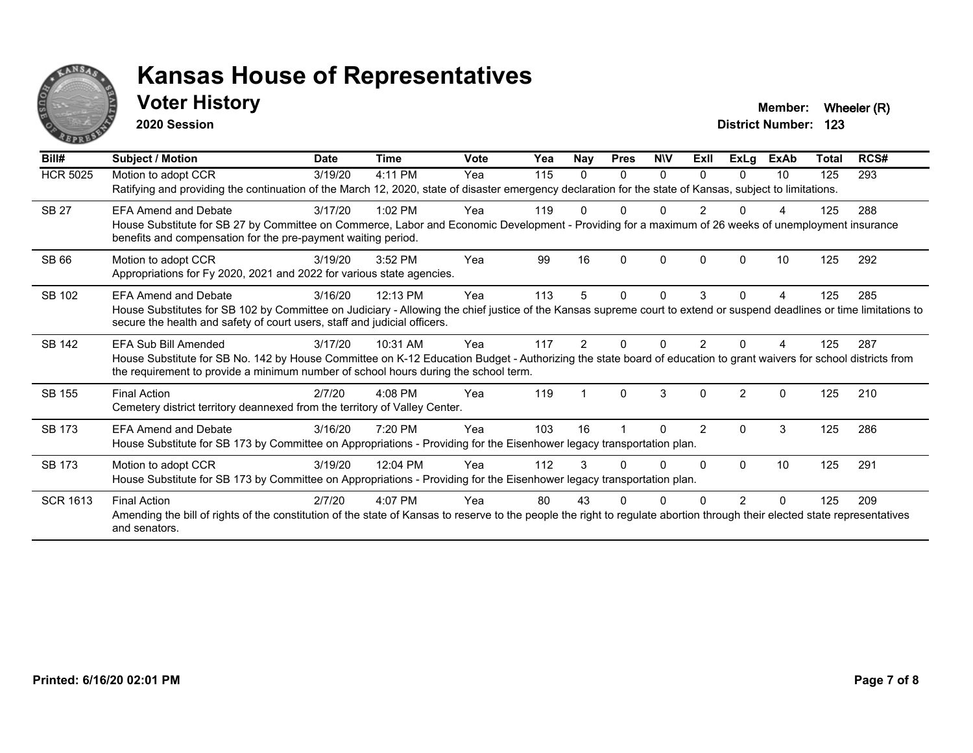

#### **Voter History Member: Wheeler (R) Member: Wheeler (R)**

**2020 Session**

| Bill#           | Subject / Motion                                                                                                                                                                                                                                                                  | <b>Date</b> | <b>Time</b> | <b>Vote</b> | Yea | <b>Nay</b>    | <b>Pres</b> | <b>NIV</b>   | ExII           | <b>ExLg</b>   | <b>ExAb</b>  | <b>Total</b> | RCS# |
|-----------------|-----------------------------------------------------------------------------------------------------------------------------------------------------------------------------------------------------------------------------------------------------------------------------------|-------------|-------------|-------------|-----|---------------|-------------|--------------|----------------|---------------|--------------|--------------|------|
| <b>HCR 5025</b> | Motion to adopt CCR<br>Ratifying and providing the continuation of the March 12, 2020, state of disaster emergency declaration for the state of Kansas, subject to limitations.                                                                                                   | 3/19/20     | 4:11 PM     | Yea         | 115 | 0             | 0           | 0            | 0              | $\Omega$      | 10           | 125          | 293  |
| <b>SB 27</b>    | <b>EFA Amend and Debate</b><br>House Substitute for SB 27 by Committee on Commerce, Labor and Economic Development - Providing for a maximum of 26 weeks of unemployment insurance<br>benefits and compensation for the pre-payment waiting period.                               | 3/17/20     | $1:02$ PM   | Yea         | 119 |               |             | U            |                |               |              | 125          | 288  |
| <b>SB 66</b>    | Motion to adopt CCR<br>Appropriations for Fy 2020, 2021 and 2022 for various state agencies.                                                                                                                                                                                      | 3/19/20     | 3:52 PM     | Yea         | 99  | 16            | $\Omega$    | $\mathbf{0}$ | $\Omega$       | $\Omega$      | 10           | 125          | 292  |
| SB 102          | <b>EFA Amend and Debate</b><br>House Substitutes for SB 102 by Committee on Judiciary - Allowing the chief justice of the Kansas supreme court to extend or suspend deadlines or time limitations to<br>secure the health and safety of court users, staff and judicial officers. | 3/16/20     | 12:13 PM    | Yea         | 113 | 5             | 0           | $\Omega$     | 3              | 0             | 4            | 125          | 285  |
| <b>SB 142</b>   | EFA Sub Bill Amended<br>House Substitute for SB No. 142 by House Committee on K-12 Education Budget - Authorizing the state board of education to grant waivers for school districts from<br>the requirement to provide a minimum number of school hours during the school term.  | 3/17/20     | 10:31 AM    | Yea         | 117 | $\mathcal{P}$ |             | O            | $\mathcal{P}$  |               |              | 125          | 287  |
| SB 155          | <b>Final Action</b><br>Cemetery district territory deannexed from the territory of Valley Center.                                                                                                                                                                                 | 2/7/20      | 4:08 PM     | Yea         | 119 |               | $\Omega$    | 3            | $\Omega$       | $\mathcal{P}$ | $\mathbf{0}$ | 125          | 210  |
| SB 173          | <b>EFA Amend and Debate</b><br>House Substitute for SB 173 by Committee on Appropriations - Providing for the Eisenhower legacy transportation plan.                                                                                                                              | 3/16/20     | 7:20 PM     | Yea         | 103 | 16            |             | 0            | $\overline{2}$ | $\mathbf{0}$  | 3            | 125          | 286  |
| SB 173          | Motion to adopt CCR<br>House Substitute for SB 173 by Committee on Appropriations - Providing for the Eisenhower legacy transportation plan.                                                                                                                                      | 3/19/20     | 12:04 PM    | Yea         | 112 | 3             |             | U            | $\Omega$       | $\Omega$      | 10           | 125          | 291  |
| <b>SCR 1613</b> | <b>Final Action</b><br>Amending the bill of rights of the constitution of the state of Kansas to reserve to the people the right to regulate abortion through their elected state representatives<br>and senators.                                                                | 2/7/20      | 4:07 PM     | Yea         | 80  | 43            |             | U            |                |               |              | 125          | 209  |